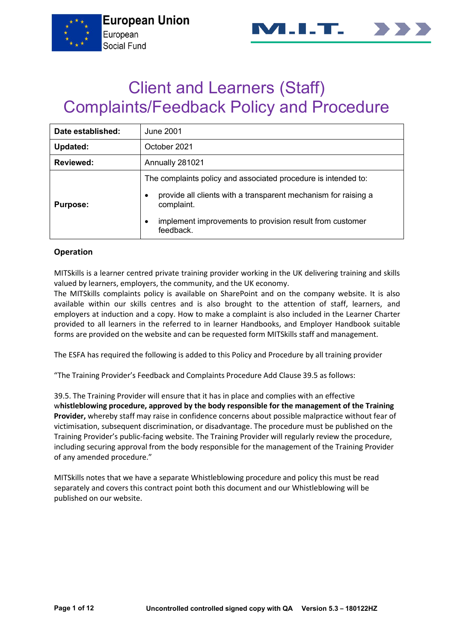



# Client and Learners (Staff) Complaints/Feedback Policy and Procedure

| Date established: | June 2001                                                                                                                                                                                                                                 |  |  |  |  |  |  |  |
|-------------------|-------------------------------------------------------------------------------------------------------------------------------------------------------------------------------------------------------------------------------------------|--|--|--|--|--|--|--|
| Updated:          | October 2021                                                                                                                                                                                                                              |  |  |  |  |  |  |  |
| <b>Reviewed:</b>  | Annually 281021                                                                                                                                                                                                                           |  |  |  |  |  |  |  |
| <b>Purpose:</b>   | The complaints policy and associated procedure is intended to:<br>provide all clients with a transparent mechanism for raising a<br>$\bullet$<br>complaint.<br>implement improvements to provision result from customer<br>٠<br>feedback. |  |  |  |  |  |  |  |

## **Operation**

MITSkills is a learner centred private training provider working in the UK delivering training and skills valued by learners, employers, the community, and the UK economy.

The MITSkills complaints policy is available on SharePoint and on the company website. It is also available within our skills centres and is also brought to the attention of staff, learners, and employers at induction and a copy. How to make a complaint is also included in the Learner Charter provided to all learners in the referred to in learner Handbooks, and Employer Handbook suitable forms are provided on the website and can be requested form MITSkills staff and management.

The ESFA has required the following is added to this Policy and Procedure by all training provider

"The Training Provider's Feedback and Complaints Procedure Add Clause 39.5 as follows:

39.5. The Training Provider will ensure that it has in place and complies with an effective w**histleblowing procedure, approved by the body responsible for the management of the Training Provider,** whereby staff may raise in confidence concerns about possible malpractice without fear of victimisation, subsequent discrimination, or disadvantage. The procedure must be published on the Training Provider's public-facing website. The Training Provider will regularly review the procedure, including securing approval from the body responsible for the management of the Training Provider of any amended procedure."

MITSkills notes that we have a separate Whistleblowing procedure and policy this must be read separately and covers this contract point both this document and our Whistleblowing will be published on our website.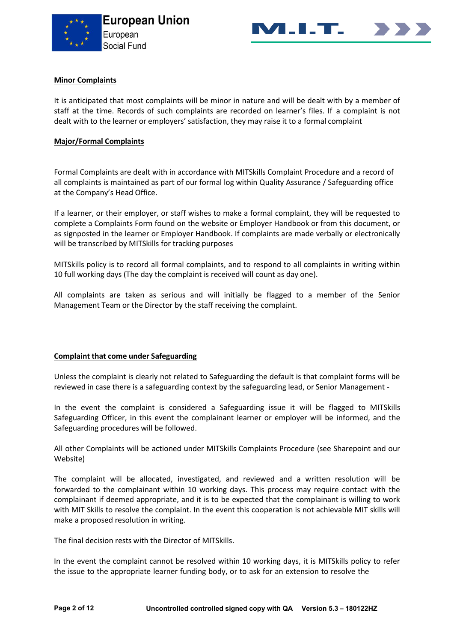



## **Minor Complaints**

It is anticipated that most complaints will be minor in nature and will be dealt with by a member of staff at the time. Records of such complaints are recorded on learner's files. If a complaint is not dealt with to the learner or employers' satisfaction, they may raise it to a formal complaint

#### **Major/Formal Complaints**

Formal Complaints are dealt with in accordance with MITSkills Complaint Procedure and a record of all complaints is maintained as part of our formal log within Quality Assurance / Safeguarding office at the Company's Head Office.

If a learner, or their employer, or staff wishes to make a formal complaint, they will be requested to complete a Complaints Form found on the website or Employer Handbook or from this document, or as signposted in the learner or Employer Handbook. If complaints are made verbally or electronically will be transcribed by MITSkills for tracking purposes

MITSkills policy is to record all formal complaints, and to respond to all complaints in writing within 10 full working days (The day the complaint is received will count as day one).

All complaints are taken as serious and will initially be flagged to a member of the Senior Management Team or the Director by the staff receiving the complaint.

#### **Complaint that come under Safeguarding**

Unless the complaint is clearly not related to Safeguarding the default is that complaint forms will be reviewed in case there is a safeguarding context by the safeguarding lead, or Senior Management -

In the event the complaint is considered a Safeguarding issue it will be flagged to MITSkills Safeguarding Officer, in this event the complainant learner or employer will be informed, and the Safeguarding procedures will be followed.

All other Complaints will be actioned under MITSkills Complaints Procedure (see Sharepoint and our Website)

The complaint will be allocated, investigated, and reviewed and a written resolution will be forwarded to the complainant within 10 working days. This process may require contact with the complainant if deemed appropriate, and it is to be expected that the complainant is willing to work with MIT Skills to resolve the complaint. In the event this cooperation is not achievable MIT skills will make a proposed resolution in writing.

The final decision rests with the Director of MITSkills.

In the event the complaint cannot be resolved within 10 working days, it is MITSkills policy to refer the issue to the appropriate learner funding body, or to ask for an extension to resolve the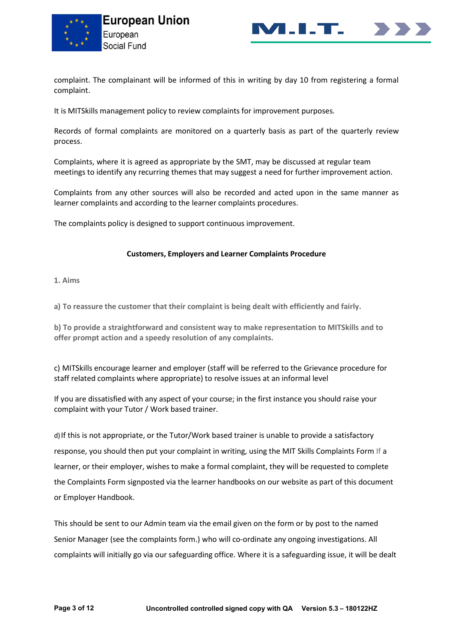



complaint. The complainant will be informed of this in writing by day 10 from registering a formal complaint.

It is MITSkills management policy to review complaints for improvement purposes.

Records of formal complaints are monitored on a quarterly basis as part of the quarterly review process.

Complaints, where it is agreed as appropriate by the SMT, may be discussed at regular team meetings to identify any recurring themes that may suggest a need for further improvement action.

Complaints from any other sources will also be recorded and acted upon in the same manner as learner complaints and according to the learner complaints procedures.

The complaints policy is designed to support continuous improvement.

#### **Customers, Employers and Learner Complaints Procedure**

**1. Aims**

**a) To reassure the customer that their complaint is being dealt with efficiently and fairly.**

**b) To provide a straightforward and consistent way to make representation to MITSkills and to offer prompt action and a speedy resolution of any complaints.**

c) MITSkills encourage learner and employer (staff will be referred to the Grievance procedure for staff related complaints where appropriate) to resolve issues at an informal level

If you are dissatisfied with any aspect of your course; in the first instance you should raise your complaint with your Tutor / Work based trainer.

d)If this is not appropriate, or the Tutor/Work based trainer is unable to provide a satisfactory response, you should then put your complaint in writing, using the MIT Skills Complaints Form If a learner, or their employer, wishes to make a formal complaint, they will be requested to complete the Complaints Form signposted via the learner handbooks on our website as part of this document or Employer Handbook.

This should be sent to our Admin team via the email given on the form or by post to the named Senior Manager (see the complaints form.) who will co-ordinate any ongoing investigations. All complaints will initially go via our safeguarding office. Where it is a safeguarding issue, it will be dealt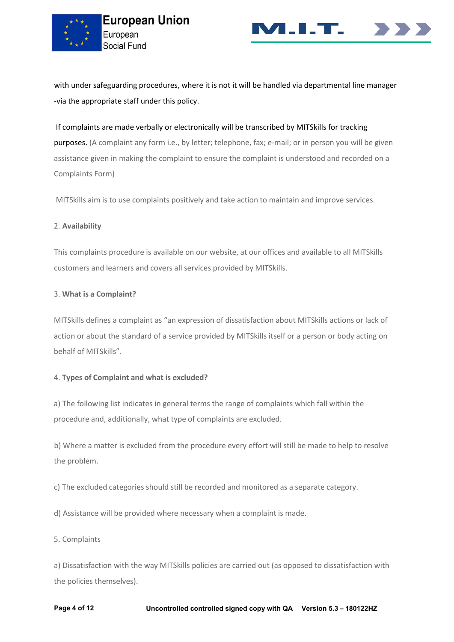



with under safeguarding procedures, where it is not it will be handled via departmental line manager -via the appropriate staff under this policy.

## If complaints are made verbally or electronically will be transcribed by MITSkills for tracking

purposes. (A complaint any form i.e., by letter; telephone, fax; e-mail; or in person you will be given assistance given in making the complaint to ensure the complaint is understood and recorded on a Complaints Form)

MITSkills aim is to use complaints positively and take action to maintain and improve services.

## 2. **Availability**

This complaints procedure is available on our website, at our offices and available to all MITSkills customers and learners and covers all services provided by MITSkills.

#### 3. **What is a Complaint?**

MITSkills defines a complaint as "an expression of dissatisfaction about MITSkills actions or lack of action or about the standard of a service provided by MITSkills itself or a person or body acting on behalf of MITSkills".

## 4. **Types of Complaint and what is excluded?**

a) The following list indicates in general terms the range of complaints which fall within the procedure and, additionally, what type of complaints are excluded.

b) Where a matter is excluded from the procedure every effort will still be made to help to resolve the problem.

c) The excluded categories should still be recorded and monitored as a separate category.

d) Assistance will be provided where necessary when a complaint is made.

## 5. Complaints

a) Dissatisfaction with the way MITSkills policies are carried out (as opposed to dissatisfaction with the policies themselves).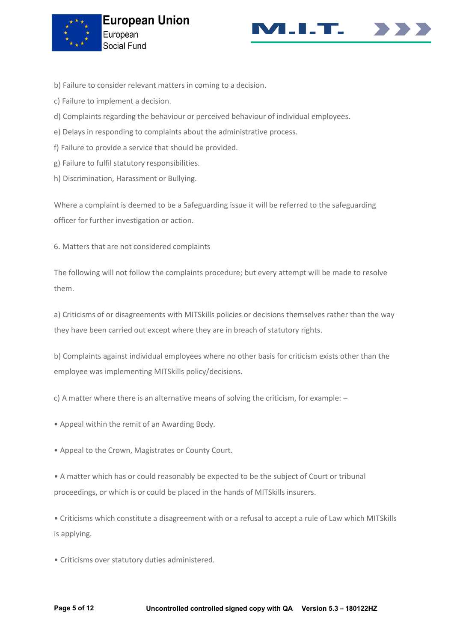



- b) Failure to consider relevant matters in coming to a decision.
- c) Failure to implement a decision.
- d) Complaints regarding the behaviour or perceived behaviour of individual employees.
- e) Delays in responding to complaints about the administrative process.
- f) Failure to provide a service that should be provided.
- g) Failure to fulfil statutory responsibilities.
- h) Discrimination, Harassment or Bullying.

Where a complaint is deemed to be a Safeguarding issue it will be referred to the safeguarding officer for further investigation or action.

6. Matters that are not considered complaints

The following will not follow the complaints procedure; but every attempt will be made to resolve them.

a) Criticisms of or disagreements with MITSkills policies or decisions themselves rather than the way they have been carried out except where they are in breach of statutory rights.

b) Complaints against individual employees where no other basis for criticism exists other than the employee was implementing MITSkills policy/decisions.

c) A matter where there is an alternative means of solving the criticism, for example: –

- Appeal within the remit of an Awarding Body.
- Appeal to the Crown, Magistrates or County Court.

• A matter which has or could reasonably be expected to be the subject of Court or tribunal proceedings, or which is or could be placed in the hands of MITSkills insurers.

• Criticisms which constitute a disagreement with or a refusal to accept a rule of Law which MITSkills is applying.

• Criticisms over statutory duties administered.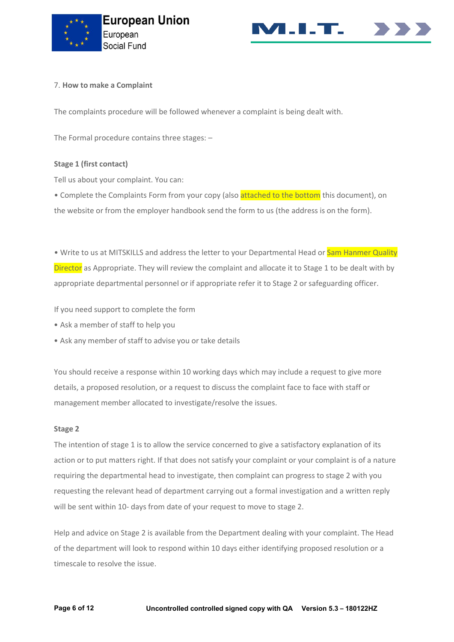



## 7. **How to make a Complaint**

The complaints procedure will be followed whenever a complaint is being dealt with.

The Formal procedure contains three stages: –

#### **Stage 1 (first contact)**

Tell us about your complaint. You can:

• Complete the Complaints Form from your copy (also attached to the bottom this document), on the website or from the employer handbook send the form to us (the address is on the form).

• Write to us at MITSKILLS and address the letter to your Departmental Head or Sam Hanmer Quality Director as Appropriate. They will review the complaint and allocate it to Stage 1 to be dealt with by appropriate departmental personnel or if appropriate refer it to Stage 2 or safeguarding officer.

If you need support to complete the form

- Ask a member of staff to help you
- Ask any member of staff to advise you or take details

You should receive a response within 10 working days which may include a request to give more details, a proposed resolution, or a request to discuss the complaint face to face with staff or management member allocated to investigate/resolve the issues.

#### **Stage 2**

The intention of stage 1 is to allow the service concerned to give a satisfactory explanation of its action or to put matters right. If that does not satisfy your complaint or your complaint is of a nature requiring the departmental head to investigate, then complaint can progress to stage 2 with you requesting the relevant head of department carrying out a formal investigation and a written reply will be sent within 10- days from date of your request to move to stage 2.

Help and advice on Stage 2 is available from the Department dealing with your complaint. The Head of the department will look to respond within 10 days either identifying proposed resolution or a timescale to resolve the issue.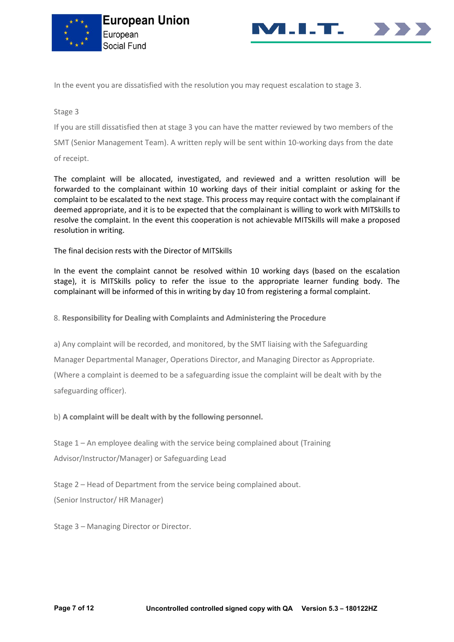



In the event you are dissatisfied with the resolution you may request escalation to stage 3.

## Stage 3

If you are still dissatisfied then at stage 3 you can have the matter reviewed by two members of the

SMT (Senior Management Team). A written reply will be sent within 10-working days from the date

of receipt.

The complaint will be allocated, investigated, and reviewed and a written resolution will be forwarded to the complainant within 10 working days of their initial complaint or asking for the complaint to be escalated to the next stage. This process may require contact with the complainant if deemed appropriate, and it is to be expected that the complainant is willing to work with MITSkills to resolve the complaint. In the event this cooperation is not achievable MITSkills will make a proposed resolution in writing.

The final decision rests with the Director of MITSkills

In the event the complaint cannot be resolved within 10 working days (based on the escalation stage), it is MITSkills policy to refer the issue to the appropriate learner funding body. The complainant will be informed of this in writing by day 10 from registering a formal complaint.

8. **Responsibility for Dealing with Complaints and Administering the Procedure**

a) Any complaint will be recorded, and monitored, by the SMT liaising with the Safeguarding

Manager Departmental Manager, Operations Director, and Managing Director as Appropriate.

(Where a complaint is deemed to be a safeguarding issue the complaint will be dealt with by the safeguarding officer).

b) **A complaint will be dealt with by the following personnel.**

Stage 1 – An employee dealing with the service being complained about (Training Advisor/Instructor/Manager) or Safeguarding Lead

Stage 2 – Head of Department from the service being complained about.

(Senior Instructor/ HR Manager)

Stage 3 – Managing Director or Director.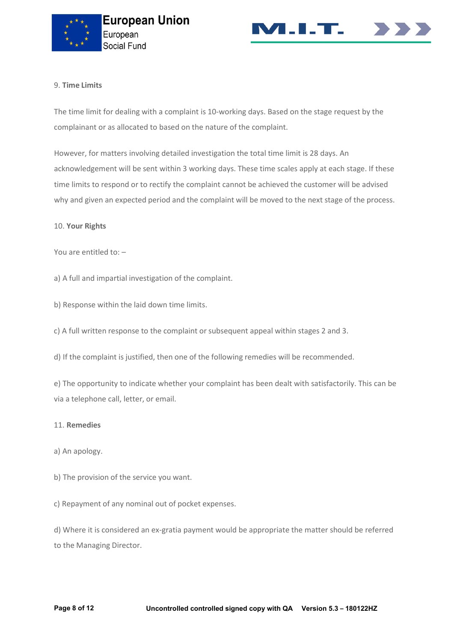



## 9. **Time Limits**

The time limit for dealing with a complaint is 10-working days. Based on the stage request by the complainant or as allocated to based on the nature of the complaint.

However, for matters involving detailed investigation the total time limit is 28 days. An acknowledgement will be sent within 3 working days. These time scales apply at each stage. If these time limits to respond or to rectify the complaint cannot be achieved the customer will be advised why and given an expected period and the complaint will be moved to the next stage of the process.

#### 10. **Your Rights**

You are entitled to: –

a) A full and impartial investigation of the complaint.

b) Response within the laid down time limits.

c) A full written response to the complaint or subsequent appeal within stages 2 and 3.

d) If the complaint is justified, then one of the following remedies will be recommended.

e) The opportunity to indicate whether your complaint has been dealt with satisfactorily. This can be via a telephone call, letter, or email.

#### 11. **Remedies**

- a) An apology.
- b) The provision of the service you want.

c) Repayment of any nominal out of pocket expenses.

d) Where it is considered an ex-gratia payment would be appropriate the matter should be referred to the Managing Director.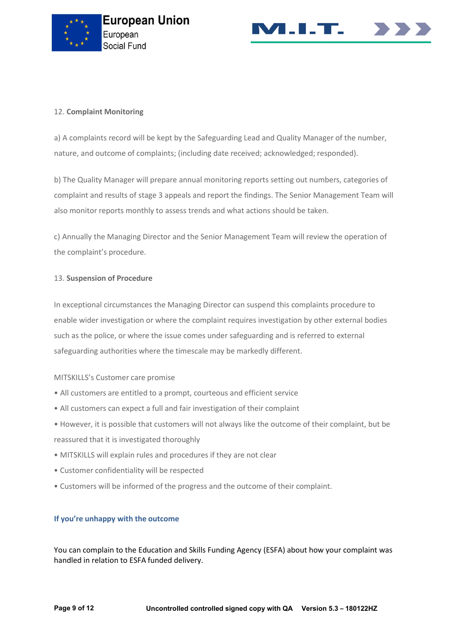



## 12. **Complaint Monitoring**

a) A complaints record will be kept by the Safeguarding Lead and Quality Manager of the number, nature, and outcome of complaints; (including date received; acknowledged; responded).

b) The Quality Manager will prepare annual monitoring reports setting out numbers, categories of complaint and results of stage 3 appeals and report the findings. The Senior Management Team will also monitor reports monthly to assess trends and what actions should be taken.

c) Annually the Managing Director and the Senior Management Team will review the operation of the complaint's procedure.

## 13. **Suspension of Procedure**

In exceptional circumstances the Managing Director can suspend this complaints procedure to enable wider investigation or where the complaint requires investigation by other external bodies such as the police, or where the issue comes under safeguarding and is referred to external safeguarding authorities where the timescale may be markedly different.

## MITSKILLS's Customer care promise

- All customers are entitled to a prompt, courteous and efficient service
- All customers can expect a full and fair investigation of their complaint
- However, it is possible that customers will not always like the outcome of their complaint, but be reassured that it is investigated thoroughly
- MITSKILLS will explain rules and procedures if they are not clear
- Customer confidentiality will be respected
- Customers will be informed of the progress and the outcome of their complaint.

## **If you're unhappy with the outcome**

You can complain to the Education and Skills Funding Agency (ESFA) about how your complaint was handled in relation to ESFA funded delivery.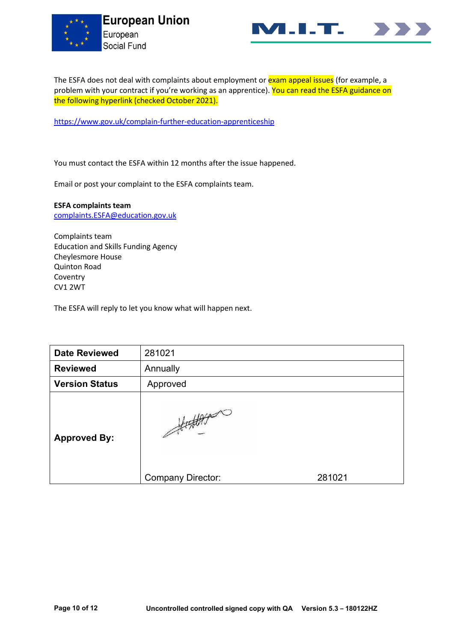



The ESFA does not deal with complaints about employment or **exam appeal issues** (for example, a problem with your contract if you're working as an apprentice). You can read the ESFA guidance on the following hyperlink (checked October 2021).

<https://www.gov.uk/complain-further-education-apprenticeship>

You must contact the ESFA within 12 months after the issue happened.

Email or post your complaint to the ESFA complaints team.

**ESFA complaints team** [complaints.ESFA@education.gov.uk](mailto:complaints.ESFA@education.gov.uk)

Complaints team Education and Skills Funding Agency Cheylesmore House Quinton Road Coventry CV1 2WT

The ESFA will reply to let you know what will happen next.

| <b>Date Reviewed</b>  | 281021                               |        |
|-----------------------|--------------------------------------|--------|
| <b>Reviewed</b>       | Annually                             |        |
| <b>Version Status</b> | Approved                             |        |
| <b>Approved By:</b>   | fightest<br><b>Company Director:</b> | 281021 |